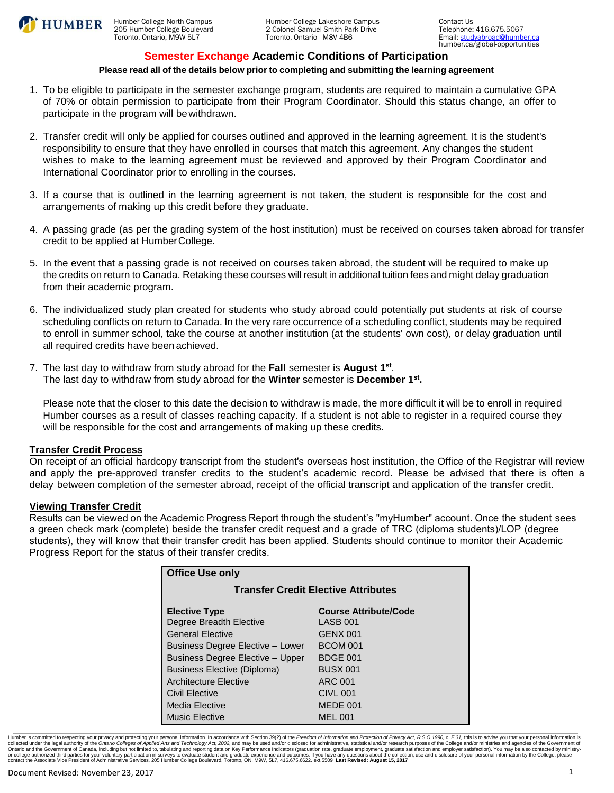

## **Semester Exchange Academic Conditions of Participation**

## **Please read all of the details below prior to completing and submitting the learning agreement**

- 1. To be eligible to participate in the semester exchange program, students are required to maintain a cumulative GPA of 70% or obtain permission to participate from their Program Coordinator. Should this status change, an offer to participate in the program will be withdrawn.
- 2. Transfer credit will only be applied for courses outlined and approved in the learning agreement. It is the student's responsibility to ensure that they have enrolled in courses that match this agreement. Any changes the student wishes to make to the learning agreement must be reviewed and approved by their Program Coordinator and International Coordinator prior to enrolling in the courses.
- 3. If a course that is outlined in the learning agreement is not taken, the student is responsible for the cost and arrangements of making up this credit before they graduate.
- 4. A passing grade (as per the grading system of the host institution) must be received on courses taken abroad for transfer credit to be applied at Humber College.
- 5. In the event that a passing grade is not received on courses taken abroad, the student will be required to make up the credits on return to Canada. Retaking these courses will result in additional tuition fees and might delay graduation from their academic program.
- 6. The individualized study plan created for students who study abroad could potentially put students at risk of course scheduling conflicts on return to Canada. In the very rare occurrence of a scheduling conflict, students may be required to enroll in summer school, take the course at another institution (at the students' own cost), or delay graduation until all required credits have been achieved.
- 7. The last day to withdraw from study abroad for the **Fall** semester is **August 1st**. The last day to withdraw from study abroad for the **Winter** semester is **December 1st.**

Please note that the closer to this date the decision to withdraw is made, the more difficult it will be to enroll in required Humber courses as a result of classes reaching capacity. If a student is not able to register in a required course they will be responsible for the cost and arrangements of making up these credits.

### **Transfer Credit Process**

On receipt of an official hardcopy transcript from the student's overseas host institution, the Office of the Registrar will review and apply the pre-approved transfer credits to the student's academic record. Please be advised that there is often a delay between completion of the semester abroad, receipt of the official transcript and application of the transfer credit.

### **Viewing Transfer Credit**

Results can be viewed on the Academic Progress Report through the student's "myHumber" account. Once the student sees a green check mark (complete) beside the transfer credit request and a grade of TRC (diploma students)/LOP (degree students), they will know that their transfer credit has been applied. Students should continue to monitor their Academic Progress Report for the status of their transfer credits.

| <b>Office Use only</b>                     |                              |  |  |  |  |
|--------------------------------------------|------------------------------|--|--|--|--|
| <b>Transfer Credit Elective Attributes</b> |                              |  |  |  |  |
| <b>Elective Type</b>                       | <b>Course Attribute/Code</b> |  |  |  |  |
| Degree Breadth Elective                    | LASB 001                     |  |  |  |  |
| <b>General Elective</b>                    | GENX 001                     |  |  |  |  |
| Business Degree Elective - Lower           | <b>BCOM 001</b>              |  |  |  |  |
| <b>Business Degree Elective - Upper</b>    | <b>BDGE 001</b>              |  |  |  |  |
| Business Elective (Diploma)                | <b>BUSX 001</b>              |  |  |  |  |
| <b>Architecture Elective</b>               | ARC 001                      |  |  |  |  |
| Civil Elective                             | <b>CIVL 001</b>              |  |  |  |  |
| Media Elective                             | MEDE 001                     |  |  |  |  |
| <b>Music Elective</b>                      | <b>MEL 001</b>               |  |  |  |  |

Humber is committed to respecting your privacy and protecting your personal information. In accordance with Section 39(2) of the Freedom of Information and Protection of Privacy Act, R.S.O 1990, c. F.31, this is to advise Ontario and the Government of Canada, including but not limited to, tabulating and reporting data on Key Performance Indicators (graduation rate, graduate subarbacked and out only and an exployment, graduate subseque of yo contact the Associate Vice President of Administrative Services, 205 Humber College Boulevard, Toronto, ON, M9W, 5L7, 416.675.6622. ext.5509 **Last Revised: August 15, 2017**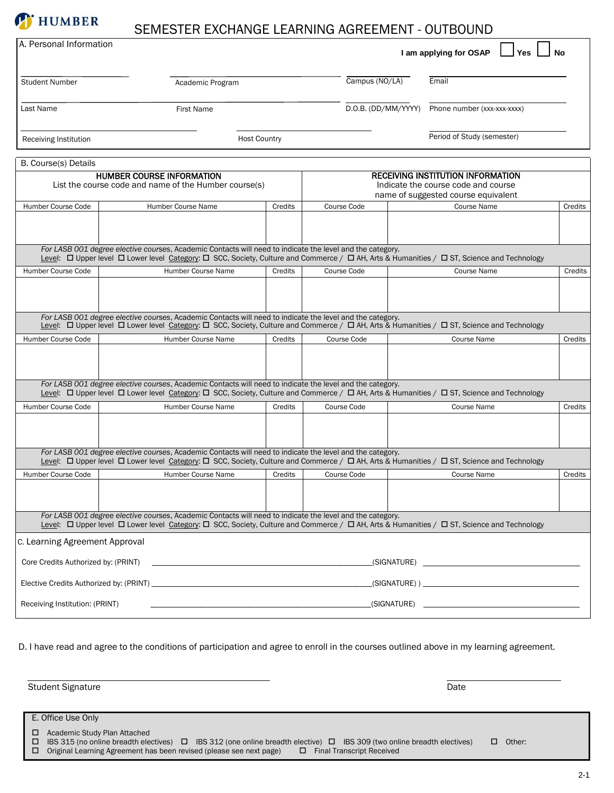## SEMESTER EXCHANGE LEARNING AGREEMENT - OUTBOUND

**T** HUMBER

| A. Personal Information             |                                                                                                                                                                                                                                                                                                                                                                                                                                                                                                                                                                                                                  |         |             |                     | I am applying for OSAP                                                                                                 | <b>Yes</b> | No      |
|-------------------------------------|------------------------------------------------------------------------------------------------------------------------------------------------------------------------------------------------------------------------------------------------------------------------------------------------------------------------------------------------------------------------------------------------------------------------------------------------------------------------------------------------------------------------------------------------------------------------------------------------------------------|---------|-------------|---------------------|------------------------------------------------------------------------------------------------------------------------|------------|---------|
| <b>Student Number</b>               | Academic Program                                                                                                                                                                                                                                                                                                                                                                                                                                                                                                                                                                                                 |         |             | Campus (NO/LA)      | Email                                                                                                                  |            |         |
| Last Name                           | <b>First Name</b>                                                                                                                                                                                                                                                                                                                                                                                                                                                                                                                                                                                                |         |             | D.O.B. (DD/MM/YYYY) | Phone number (xxx-xxx-xxxx)                                                                                            |            |         |
| Receiving Institution               | <b>Host Country</b>                                                                                                                                                                                                                                                                                                                                                                                                                                                                                                                                                                                              |         |             |                     | Period of Study (semester)                                                                                             |            |         |
| B. Course(s) Details                |                                                                                                                                                                                                                                                                                                                                                                                                                                                                                                                                                                                                                  |         |             |                     |                                                                                                                        |            |         |
|                                     | <b>HUMBER COURSE INFORMATION</b><br>List the course code and name of the Humber course(s)                                                                                                                                                                                                                                                                                                                                                                                                                                                                                                                        |         |             |                     | <b>RECEIVING INSTITUTION INFORMATION</b><br>Indicate the course code and course<br>name of suggested course equivalent |            |         |
| Humber Course Code                  | Humber Course Name                                                                                                                                                                                                                                                                                                                                                                                                                                                                                                                                                                                               | Credits | Course Code |                     | Course Name                                                                                                            |            | Credits |
|                                     |                                                                                                                                                                                                                                                                                                                                                                                                                                                                                                                                                                                                                  |         |             |                     |                                                                                                                        |            |         |
|                                     | For LASB 001 degree elective courses, Academic Contacts will need to indicate the level and the category.<br>Level: [O Upper level   Q Lower level Category: [C] SCC, Society, Culture and Commerce / [C] AH, Arts & Humanities / [C] ST, Science and Technology                                                                                                                                                                                                                                                                                                                                                 |         |             |                     |                                                                                                                        |            |         |
| Humber Course Code                  | Humber Course Name                                                                                                                                                                                                                                                                                                                                                                                                                                                                                                                                                                                               | Credits | Course Code |                     | <b>Course Name</b>                                                                                                     |            | Credits |
|                                     |                                                                                                                                                                                                                                                                                                                                                                                                                                                                                                                                                                                                                  |         |             |                     |                                                                                                                        |            |         |
|                                     | For LASB 001 degree elective courses, Academic Contacts will need to indicate the level and the category.<br>Level: $I = \text{Upper level} \quad \text{Lower level} \quad \text{Category:} \quad \text{C} \quad \text{S} \quad \text{S} \quad \text{C} \quad \text{S} \quad \text{C} \quad \text{C} \quad \text{C} \quad \text{C} \quad \text{C} \quad \text{C} \quad \text{C} \quad \text{C} \quad \text{C} \quad \text{C} \quad \text{C} \quad \text{C} \quad \text{C} \quad \text{C} \quad \text{C} \quad \text{C} \quad \text{C} \quad \text{C} \quad \text{C} \quad \text{C} \quad \text{C} \quad \text{C$ |         |             |                     |                                                                                                                        |            |         |
| Humber Course Code                  | Humber Course Name                                                                                                                                                                                                                                                                                                                                                                                                                                                                                                                                                                                               | Credits | Course Code |                     | <b>Course Name</b>                                                                                                     |            | Credits |
|                                     |                                                                                                                                                                                                                                                                                                                                                                                                                                                                                                                                                                                                                  |         |             |                     |                                                                                                                        |            |         |
|                                     | For LASB 001 degree elective courses, Academic Contacts will need to indicate the level and the category.<br>Level: [O Upper level   Q Lower level Category: [C] SCC, Society, Culture and Commerce / [C] AH, Arts & Humanities / [C] ST, Science and Technology                                                                                                                                                                                                                                                                                                                                                 |         |             |                     |                                                                                                                        |            |         |
| Humber Course Code                  | Humber Course Name                                                                                                                                                                                                                                                                                                                                                                                                                                                                                                                                                                                               | Credits | Course Code |                     | <b>Course Name</b>                                                                                                     |            | Credits |
|                                     |                                                                                                                                                                                                                                                                                                                                                                                                                                                                                                                                                                                                                  |         |             |                     |                                                                                                                        |            |         |
|                                     | For LASB 001 degree elective courses, Academic Contacts will need to indicate the level and the category.<br>Level: [O Upper level   O Lower level Category: O SCC, Society, Culture and Commerce / $\Box$ AH, Arts & Humanities / $\Box$ ST, Science and Technology                                                                                                                                                                                                                                                                                                                                             |         |             |                     |                                                                                                                        |            |         |
| Humber Course Code                  | Humber Course Name                                                                                                                                                                                                                                                                                                                                                                                                                                                                                                                                                                                               | Credits | Course Code |                     | <b>Course Name</b>                                                                                                     |            | Credits |
|                                     |                                                                                                                                                                                                                                                                                                                                                                                                                                                                                                                                                                                                                  |         |             |                     |                                                                                                                        |            |         |
|                                     | For LASB 001 degree elective courses, Academic Contacts will need to indicate the level and the category.<br>Level: □ Upper level □ Lower level Category: □ SCC, Society, Culture and Commerce / □ AH, Arts & Humanities / □ ST, Science and Technology                                                                                                                                                                                                                                                                                                                                                          |         |             |                     |                                                                                                                        |            |         |
| c. Learning Agreement Approval      |                                                                                                                                                                                                                                                                                                                                                                                                                                                                                                                                                                                                                  |         |             |                     |                                                                                                                        |            |         |
| Core Credits Authorized by: (PRINT) |                                                                                                                                                                                                                                                                                                                                                                                                                                                                                                                                                                                                                  |         |             |                     |                                                                                                                        |            |         |
|                                     |                                                                                                                                                                                                                                                                                                                                                                                                                                                                                                                                                                                                                  |         |             |                     |                                                                                                                        |            |         |
| Receiving Institution: (PRINT)      | (SIGNATURE)                                                                                                                                                                                                                                                                                                                                                                                                                                                                                                                                                                                                      |         |             |                     | <u> Alexandria de la contrada de la contrada de la contrada de la contrada de la contrada de la contrada de la c</u>   |            |         |

D. I have read and agree to the conditions of participation and agree to enroll in the courses outlined above in my learning agreement.

| <b>Student Signature</b>                                                                                                                                                                                                                                                                                                                                                                                                              | Date                                                                                                            |
|---------------------------------------------------------------------------------------------------------------------------------------------------------------------------------------------------------------------------------------------------------------------------------------------------------------------------------------------------------------------------------------------------------------------------------------|-----------------------------------------------------------------------------------------------------------------|
| E. Office Use Only                                                                                                                                                                                                                                                                                                                                                                                                                    |                                                                                                                 |
| Academic Study Plan Attached<br>□<br>$\overline{1}$ $\overline{1}$ $\overline{2}$ $\overline{4}$ $\overline{5}$ $\overline{2}$ $\overline{2}$ $\overline{4}$ $\overline{2}$ $\overline{2}$ $\overline{2}$ $\overline{2}$ $\overline{2}$ $\overline{2}$ $\overline{2}$ $\overline{2}$ $\overline{2}$ $\overline{2}$ $\overline{2}$ $\overline{2}$ $\overline{2}$ $\overline{2}$ $\overline{2}$ $\overline{2}$ $\overline{$<br>n.<br>n. | $\Box$ IDC 212 (and applied broadth algebra) $\Box$ IDC 200 (two applied broadth algebra)<br>$\Box$ $\cap$ then |

IBS 315 (no online breadth electives) □ IBS 312 (one online breadth elective) □ IBS 309 (two online breadth electives) □ Uther:<br>Original Learning Agreement has been revised (please see next page) □ Final Transcript Receiv  $\square$  Original Learning Agreement has been revised (please see next page)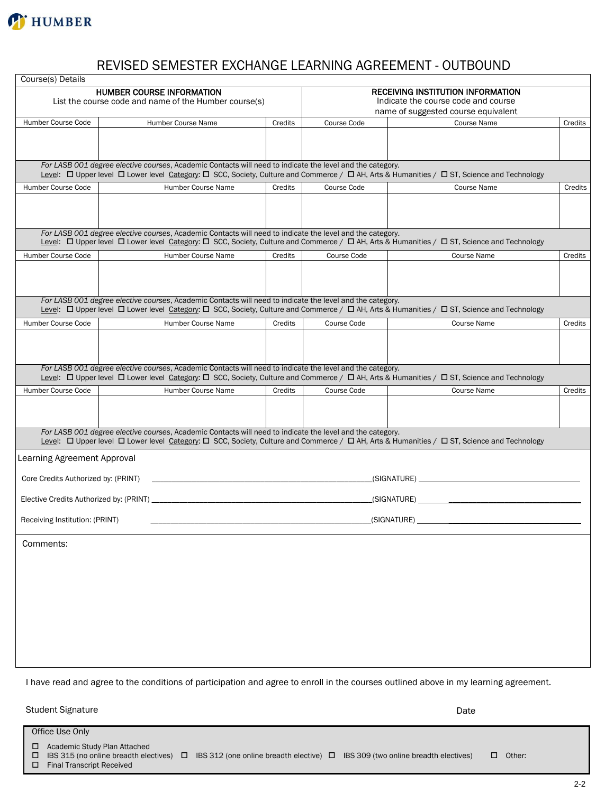

# REVISED SEMESTER EXCHANGE LEARNING AGREEMENT - OUTBOUND

| Course(s) Details                   |                                                                                                                                                                                                                                                                                  |                                          |             |                                                                            |         |
|-------------------------------------|----------------------------------------------------------------------------------------------------------------------------------------------------------------------------------------------------------------------------------------------------------------------------------|------------------------------------------|-------------|----------------------------------------------------------------------------|---------|
|                                     | <b>HUMBER COURSE INFORMATION</b>                                                                                                                                                                                                                                                 | <b>RECEIVING INSTITUTION INFORMATION</b> |             |                                                                            |         |
|                                     | List the course code and name of the Humber course(s)                                                                                                                                                                                                                            |                                          |             | Indicate the course code and course<br>name of suggested course equivalent |         |
| Humber Course Code                  | Humber Course Name                                                                                                                                                                                                                                                               | Credits                                  | Course Code | <b>Course Name</b>                                                         | Credits |
|                                     |                                                                                                                                                                                                                                                                                  |                                          |             |                                                                            |         |
|                                     |                                                                                                                                                                                                                                                                                  |                                          |             |                                                                            |         |
|                                     |                                                                                                                                                                                                                                                                                  |                                          |             |                                                                            |         |
|                                     | For LASB 001 degree elective courses, Academic Contacts will need to indicate the level and the category.<br>Level: [O Upper level   Q Lower level Category: [C SCC, Society, Culture and Commerce / [C AH, Arts & Humanities / C ST, Science and Technology                     |                                          |             |                                                                            |         |
| Humber Course Code                  | Humber Course Name                                                                                                                                                                                                                                                               | Credits                                  | Course Code | Course Name                                                                | Credits |
|                                     |                                                                                                                                                                                                                                                                                  |                                          |             |                                                                            |         |
|                                     |                                                                                                                                                                                                                                                                                  |                                          |             |                                                                            |         |
|                                     |                                                                                                                                                                                                                                                                                  |                                          |             |                                                                            |         |
|                                     | For LASB 001 degree elective courses, Academic Contacts will need to indicate the level and the category.<br>Level: $\Box$ Upper level $\Box$ Lower level Category: $\Box$ SCC, Society, Culture and Commerce / $\Box$ AH, Arts & Humanities / $\Box$ ST, Science and Technology |                                          |             |                                                                            |         |
| Humber Course Code                  | Humber Course Name                                                                                                                                                                                                                                                               | Credits                                  | Course Code | <b>Course Name</b>                                                         | Credits |
|                                     |                                                                                                                                                                                                                                                                                  |                                          |             |                                                                            |         |
|                                     |                                                                                                                                                                                                                                                                                  |                                          |             |                                                                            |         |
|                                     | For LASB 001 degree elective courses, Academic Contacts will need to indicate the level and the category.                                                                                                                                                                        |                                          |             |                                                                            |         |
|                                     | Level: □ Upper level □ Lower level Category: □ SCC, Society, Culture and Commerce / □ AH, Arts & Humanities / □ ST, Science and Technology                                                                                                                                       |                                          |             |                                                                            |         |
| Humber Course Code                  | Humber Course Name                                                                                                                                                                                                                                                               | Credits                                  | Course Code | <b>Course Name</b>                                                         | Credits |
|                                     |                                                                                                                                                                                                                                                                                  |                                          |             |                                                                            |         |
|                                     |                                                                                                                                                                                                                                                                                  |                                          |             |                                                                            |         |
|                                     |                                                                                                                                                                                                                                                                                  |                                          |             |                                                                            |         |
|                                     | For LASB 001 degree elective courses, Academic Contacts will need to indicate the level and the category.<br>Level: [O Upper level   O Lower level Category: [C] SCC, Society, Culture and Commerce / [C] AH, Arts & Humanities / [C] ST, Science and Technology                 |                                          |             |                                                                            |         |
| Humber Course Code                  | Humber Course Name                                                                                                                                                                                                                                                               | Credits                                  | Course Code | <b>Course Name</b>                                                         | Credits |
|                                     |                                                                                                                                                                                                                                                                                  |                                          |             |                                                                            |         |
|                                     |                                                                                                                                                                                                                                                                                  |                                          |             |                                                                            |         |
|                                     | For LASB 001 degree elective courses, Academic Contacts will need to indicate the level and the category.                                                                                                                                                                        |                                          |             |                                                                            |         |
|                                     | Level: [Upper level   Lower level Category: [ SCC, Society, Culture and Commerce / [ AH, Arts & Humanities / [ ST, Science and Technology                                                                                                                                        |                                          |             |                                                                            |         |
| Learning Agreement Approval         |                                                                                                                                                                                                                                                                                  |                                          |             |                                                                            |         |
| Core Credits Authorized by: (PRINT) |                                                                                                                                                                                                                                                                                  |                                          |             |                                                                            |         |
|                                     |                                                                                                                                                                                                                                                                                  |                                          |             |                                                                            |         |
| Receiving Institution: (PRINT)      |                                                                                                                                                                                                                                                                                  |                                          |             | (SIGNATURE)                                                                |         |
|                                     |                                                                                                                                                                                                                                                                                  |                                          |             |                                                                            |         |
| Comments:                           |                                                                                                                                                                                                                                                                                  |                                          |             |                                                                            |         |
|                                     |                                                                                                                                                                                                                                                                                  |                                          |             |                                                                            |         |
|                                     |                                                                                                                                                                                                                                                                                  |                                          |             |                                                                            |         |
|                                     |                                                                                                                                                                                                                                                                                  |                                          |             |                                                                            |         |
|                                     |                                                                                                                                                                                                                                                                                  |                                          |             |                                                                            |         |
|                                     |                                                                                                                                                                                                                                                                                  |                                          |             |                                                                            |         |
|                                     |                                                                                                                                                                                                                                                                                  |                                          |             |                                                                            |         |
|                                     |                                                                                                                                                                                                                                                                                  |                                          |             |                                                                            |         |
|                                     |                                                                                                                                                                                                                                                                                  |                                          |             |                                                                            |         |
|                                     |                                                                                                                                                                                                                                                                                  |                                          |             |                                                                            |         |

I have read and agree to the conditions of participation and agree to enroll in the courses outlined above in my learning agreement.

Student Signature Date

Office Use Only □ Academic Study Plan Attached  $\Box$  IBS 315 (no online breadth electives)  $\Box$  IBS 312 (one online breadth elective)  $\Box$  IBS 309 (two online breadth electives)  $\Box$  Other: Final Transcript Received